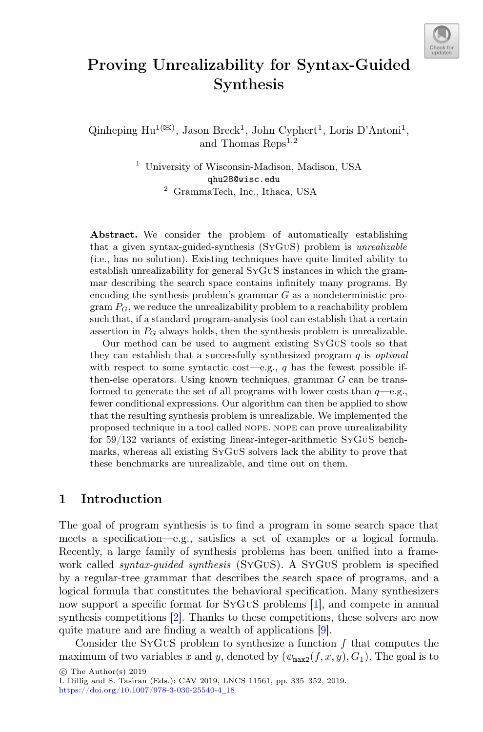

# Proving Unrealizability for Syntax-Guided Synthesis

Qinheping  $\mathrm{Hu}^{1(\boxtimes)}$ , Jason Breck<sup>1</sup>, John Cyphert<sup>1</sup>, Loris D'Antoni<sup>1</sup>, and Thomas Reps<sup>1,2</sup>

> <sup>1</sup> University of Wisconsin-Madison, Madison, USA qhu28@wisc.edu <sup>2</sup> GrammaTech, Inc., Ithaca, USA

Abstract. We consider the problem of automatically establishing that a given syntax-guided-synthesis (SyGuS) problem is *unrealizable* (i.e., has no solution). Existing techniques have quite limited ability to establish unrealizability for general SyGuS instances in which the grammar describing the search space contains infinitely many programs. By encoding the synthesis problem's grammar  $G$  as a nondeterministic program  $P_G$ , we reduce the unrealizability problem to a reachability problem such that, if a standard program-analysis tool can establish that a certain assertion in  $P_G$  always holds, then the synthesis problem is unrealizable.

Our method can be used to augment existing SyGuS tools so that they can establish that a successfully synthesized program q is *optimal* with respect to some syntactic cost—e.g., q has the fewest possible ifthen-else operators. Using known techniques, grammar G can be transformed to generate the set of all programs with lower costs than  $q$ —e.g., fewer conditional expressions. Our algorithm can then be applied to show that the resulting synthesis problem is unrealizable. We implemented the proposed technique in a tool called nope. nope can prove unrealizability for 59/132 variants of existing linear-integer-arithmetic SyGuS benchmarks, whereas all existing SyGuS solvers lack the ability to prove that these benchmarks are unrealizable, and time out on them.

### <span id="page-0-0"></span>1 Introduction

The goal of program synthesis is to find a program in some search space that meets a specification—e.g., satisfies a set of examples or a logical formula. Recently, a large family of synthesis problems has been unified into a framework called *syntax-guided synthesis* (SyGuS). A SyGuS problem is specified by a regular-tree grammar that describes the search space of programs, and a logical formula that constitutes the behavioral specification. Many synthesizers now support a specific format for SyGuS problems [\[1](#page-16-0)], and compete in annual synthesis competitions [\[2\]](#page-16-1). Thanks to these competitions, these solvers are now quite mature and are finding a wealth of applications [\[9\]](#page-16-2).

Consider the SYGUS problem to synthesize a function  $f$  that computes the maximum of two variables x and y, denoted by  $(\psi_{\texttt{max2}}(f, x, y), G_1)$ . The goal is to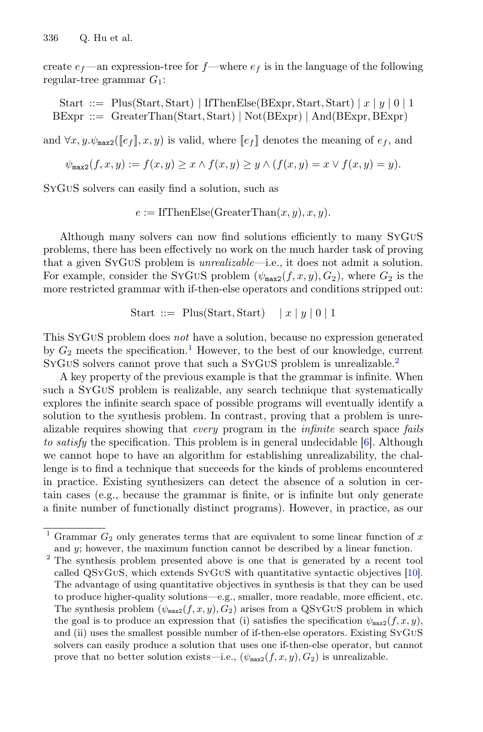create  $e_f$ —an expression-tree for  $f$ —where  $e_f$  is in the language of the following regular-tree grammar  $G_1$ :

Start ::= Plus(Start, Start) | IfThenElse(BExpr, Start, Start) |  $x | y | 0 | 1$ BExpr ::= GreaterThan(Start, Start) <sup>|</sup> Not(BExpr) <sup>|</sup> And(BExpr, BExpr)

and  $\forall x, y. \psi_{\text{max2}}(\llbracket e_f \rrbracket, x, y)$  is valid, where  $\llbracket e_f \rrbracket$  denotes the meaning of  $e_f$ , and

$$
\psi_{\max2}(f,x,y) := f(x,y) \geq x \wedge f(x,y) \geq y \wedge (f(x,y) = x \vee f(x,y) = y).
$$

SyGuS solvers can easily find a solution, such as

 $e := \text{IfThenElse}(G \text{reacter} \text{Then}(x, y), x, y).$ 

Although many solvers can now find solutions efficiently to many SyGuS problems, there has been effectively no work on the much harder task of proving that a given SyGuS problem is *unrealizable*—i.e., it does not admit a solution. For example, consider the SYGUS problem  $(\psi_{\text{max2}}(f, x, y), G_2)$ , where  $G_2$  is the more restricted grammar with if-then-else operators and conditions stripped out:

$$
\text{Start} \ ::= \ \text{Plus}(\text{Start}, \text{Start}) \quad \mid x \mid y \mid 0 \mid 1
$$

This SyGuS problem does *not* have a solution, because no expression generated by  $G_2$  meets the specification.<sup>[1](#page-1-0)</sup> However, to the best of our knowledge, current SYGUS solvers cannot prove that such a SYGUS problem is unrealizable.<sup>[2](#page-1-1)</sup>

A key property of the previous example is that the grammar is infinite. When such a SyGuS problem is realizable, any search technique that systematically explores the infinite search space of possible programs will eventually identify a solution to the synthesis problem. In contrast, proving that a problem is unrealizable requires showing that *every* program in the *infinite* search space *fails to satisfy* the specification. This problem is in general undecidable [\[6](#page-16-3)]. Although we cannot hope to have an algorithm for establishing unrealizability, the challenge is to find a technique that succeeds for the kinds of problems encountered in practice. Existing synthesizers can detect the absence of a solution in certain cases (e.g., because the grammar is finite, or is infinite but only generate a finite number of functionally distinct programs). However, in practice, as our

<span id="page-1-1"></span><sup>2</sup> The synthesis problem presented above is one that is generated by a recent tool called QSyGuS, which extends SyGuS with quantitative syntactic objectives [\[10](#page-16-4)]. The advantage of using quantitative objectives in synthesis is that they can be used to produce higher-quality solutions—e.g., smaller, more readable, more efficient, etc. The synthesis problem  $(\psi_{\text{max2}}(f, x, y), G_2)$  arises from a QSYGUS problem in which the goal is to produce an expression that (i) satisfies the specification  $\psi_{\text{max2}}(f, x, y)$ , and (ii) uses the smallest possible number of if-then-else operators. Existing SyGuS solvers can easily produce a solution that uses one if-then-else operator, but cannot prove that no better solution exists—i.e.,  $(\psi_{\text{max2}}(f, x, y), G_2)$  is unrealizable.

<span id="page-1-0"></span><sup>&</sup>lt;sup>1</sup> Grammar  $G_2$  only generates terms that are equivalent to some linear function of x and  $y$ ; however, the maximum function cannot be described by a linear function.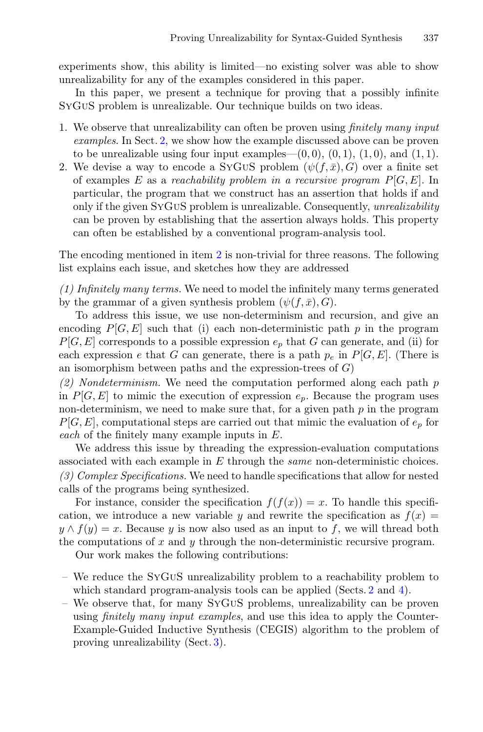experiments show, this ability is limited—no existing solver was able to show unrealizability for any of the examples considered in this paper.

In this paper, we present a technique for proving that a possibly infinite SyGuS problem is unrealizable. Our technique builds on two ideas.

- 1. We observe that unrealizability can often be proven using *finitely many input examples*. In Sect. [2,](#page-3-0) we show how the example discussed above can be proven to be unrealizable using four input examples— $(0, 0), (0, 1), (1, 0),$  and  $(1, 1)$ .
- 2. We devise a way to encode a SYGUS problem  $(\psi(f,\bar{x}),G)$  over a finite set of examples E as a *reachability problem in a recursive program* P[G, E]. In particular, the program that we construct has an assertion that holds if and only if the given SyGuS problem is unrealizable. Consequently, *unrealizability* can be proven by establishing that the assertion always holds. This property can often be established by a conventional program-analysis tool.

The encoding mentioned in item [2](#page-0-0) is non-trivial for three reasons. The following list explains each issue, and sketches how they are addressed

*(1) Infinitely many terms.* We need to model the infinitely many terms generated by the grammar of a given synthesis problem  $(\psi(f,\bar{x}), G)$ .

To address this issue, we use non-determinism and recursion, and give an encoding  $P[G, E]$  such that (i) each non-deterministic path p in the program  $P[G, E]$  corresponds to a possible expression  $e_n$  that G can generate, and (ii) for each expression e that G can generate, there is a path  $p_e$  in  $P[G, E]$ . (There is an isomorphism between paths and the expression-trees of  $G$ )

*(2) Nondeterminism.* We need the computation performed along each path p in  $P[G, E]$  to mimic the execution of expression  $e_p$ . Because the program uses non-determinism, we need to make sure that, for a given path  $p$  in the program  $P[G, E]$ , computational steps are carried out that mimic the evaluation of  $e_p$  for *each* of the finitely many example inputs in E.

We address this issue by threading the expression-evaluation computations associated with each example in E through the *same* non-deterministic choices. *(3) Complex Specifications.* We need to handle specifications that allow for nested calls of the programs being synthesized.

For instance, consider the specification  $f(f(x)) = x$ . To handle this specification, we introduce a new variable y and rewrite the specification as  $f(x) =$  $y \wedge f(y) = x$ . Because y is now also used as an input to f, we will thread both the computations of  $x$  and  $y$  through the non-deterministic recursive program.

Our work makes the following contributions:

- We reduce the SyGuS unrealizability problem to a reachability problem to which standard program-analysis tools can be applied (Sects. [2](#page-3-0) and [4\)](#page-9-0).
- We observe that, for many SyGuS problems, unrealizability can be proven using *finitely many input examples*, and use this idea to apply the Counter-Example-Guided Inductive Synthesis (CEGIS) algorithm to the problem of proving unrealizability (Sect. [3\)](#page-7-0).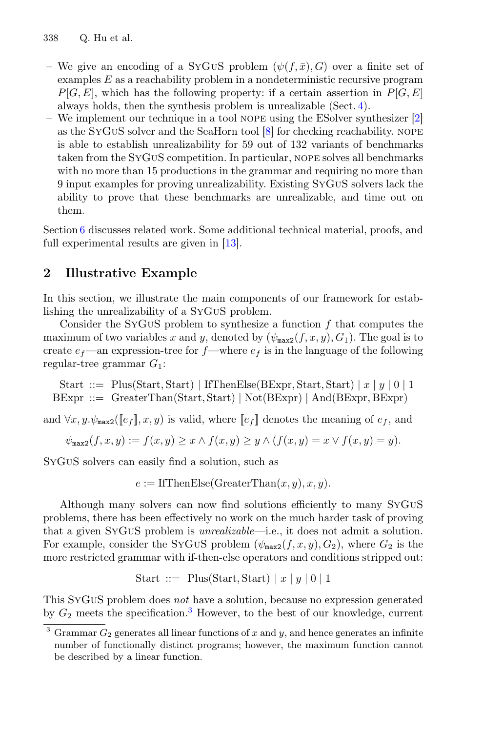- We give an encoding of a SYGUS problem  $(\psi(f,\bar{x}), G)$  over a finite set of examples E as a reachability problem in a nondeterministic recursive program  $P[G, E]$ , which has the following property: if a certain assertion in  $P[G, E]$ always holds, then the synthesis problem is unrealizable (Sect. [4\)](#page-9-0).
- We implement our technique in a tool nope using the ESolver synthesizer [\[2](#page-16-1)] as the SyGuS solver and the SeaHorn tool [\[8](#page-16-5)] for checking reachability. nope is able to establish unrealizability for 59 out of 132 variants of benchmarks taken from the SyGuS competition. In particular, nope solves all benchmarks with no more than 15 productions in the grammar and requiring no more than 9 input examples for proving unrealizability. Existing SyGuS solvers lack the ability to prove that these benchmarks are unrealizable, and time out on them.

Section [6](#page-14-0) discusses related work. Some additional technical material, proofs, and full experimental results are given in [\[13](#page-17-0)].

## <span id="page-3-0"></span>2 Illustrative Example

In this section, we illustrate the main components of our framework for establishing the unrealizability of a SyGuS problem.

Consider the SYGUS problem to synthesize a function  $f$  that computes the maximum of two variables x and y, denoted by  $(\psi_{\text{max2}}(f, x, y), G_1)$ . The goal is to create  $e_f$ —an expression-tree for  $f$ —where  $e_f$  is in the language of the following regular-tree grammar  $G_1$ :

Start ::= Plus(Start, Start) | IfThenElse(BExpr, Start, Start) |  $x | y | 0 | 1$  $B\text{Expr} ::=$  GreaterThan(Start, Start) | Not(BExpr) | And(BExpr, BExpr)

and  $\forall x, y. \psi_{\text{max2}}(\llbracket e_f \rrbracket, x, y)$  is valid, where  $\llbracket e_f \rrbracket$  denotes the meaning of  $e_f$ , and

$$
\psi_{\texttt{max2}}(f,x,y):=f(x,y)\geq x\wedge f(x,y)\geq y\wedge (f(x,y)=x\vee f(x,y)=y).
$$

SyGuS solvers can easily find a solution, such as

 $e := \text{IfThenElse}(G \text{reater} \text{Then}(x, y), x, y).$ 

Although many solvers can now find solutions efficiently to many SyGuS problems, there has been effectively no work on the much harder task of proving that a given SyGuS problem is *unrealizable*—i.e., it does not admit a solution. For example, consider the SYGUS problem  $(\psi_{\text{max2}}(f, x, y), G_2)$ , where  $G_2$  is the more restricted grammar with if-then-else operators and conditions stripped out:

$$
\text{Start} \ ::= \ \text{Plus}(\text{Start}, \text{Start}) \ | \ x \ | \ y \ | \ 0 \ | \ 1
$$

This SyGuS problem does *not* have a solution, because no expression generated by  $G_2$  meets the specification.<sup>[3](#page-3-1)</sup> However, to the best of our knowledge, current

<span id="page-3-1"></span><sup>&</sup>lt;sup>3</sup> Grammar  $G_2$  generates all linear functions of x and y, and hence generates an infinite number of functionally distinct programs; however, the maximum function cannot be described by a linear function.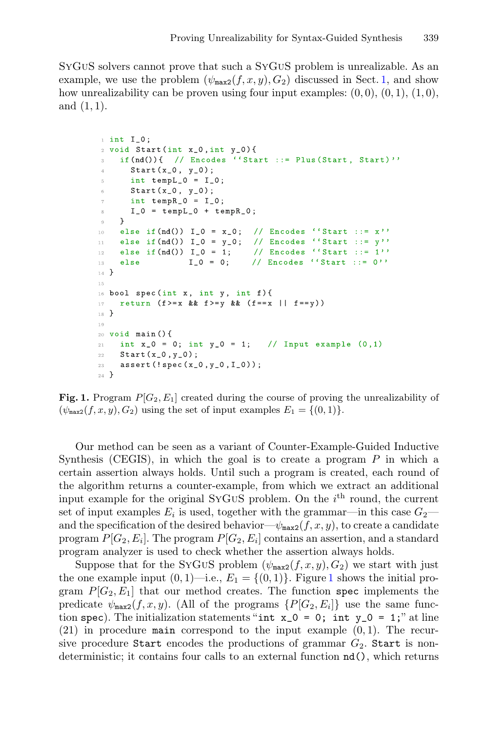SyGuS solvers cannot prove that such a SyGuS problem is unrealizable. As an example, we use the problem  $(\psi_{\text{max2}}(f, x, y), G_2)$  discussed in Sect. [1,](#page-0-0) and show how unrealizability can be proven using four input examples:  $(0,0)$ ,  $(0,1)$ ,  $(1,0)$ , and  $(1, 1)$ .

```
\frac{1}{1} int I_0;
2 void Start (int x_0, int y_0) {
    if (nd()) \{ // Encodes ''Start :: = Plus (Start, Start) \}'\bar{3}Start(x_0, y_0);\overline{4}int templ_0 = I_0;
\bar{5}Start(x_0, y_0);\kappaint tempR_0 = I_0;\overline{\tau}I_0 = tempL_0 + tempR_0;\bar{8}\overline{9} }
10 else if (nd() ) I_0 = x_0; // Encodes ''Start ::= x''
11 else if (nd()) I_0 = y_0; // Encodes ''Start ::= y''
12 else if (nd()) I_0 = 1;// Encodes ''Start ::= 1''
                                 // Encodes ''Start ::= 0''
                   I_0 = 0;13\,else
14 }
1\,516 bool spec(int x, int y, int f){
17         return (f>=x && f>=y && (f==x || f==y))
18 }
19
20 void main () {
21 int x_0 = 0; int y_0 = 1; // Input example (0, 1)Start(x_0, y_0);22
2\sqrt{3} .
    assert (!spec(x_0, y_0, I_0));
24 }
```
<span id="page-4-0"></span>Fig. 1. Program  $P[G_2, E_1]$  created during the course of proving the unrealizability of  $(\psi_{\text{max2}}(f, x, y), G_2)$  using the set of input examples  $E_1 = \{(0, 1)\}.$ 

Our method can be seen as a variant of Counter-Example-Guided Inductive Synthesis (CEGIS), in which the goal is to create a program  $P$  in which a certain assertion always holds. Until such a program is created, each round of the algorithm returns a counter-example, from which we extract an additional input example for the original SYGUS problem. On the  $i<sup>th</sup>$  round, the current set of input examples  $E_i$  is used, together with the grammar—in this case  $G_2$  and the specification of the desired behavior— $\psi_{\text{max2}}(f, x, y)$ , to create a candidate program  $P[G_2, E_i]$ . The program  $P[G_2, E_i]$  contains an assertion, and a standard program analyzer is used to check whether the assertion always holds.

Suppose that for the SYGUS problem  $(\psi_{\text{max2}}(f, x, y), G_2)$  we start with just the one example input  $(0, 1)$  $(0, 1)$  $(0, 1)$ —i.e.,  $E_1 = \{(0, 1)\}\.$  Figure 1 shows the initial program  $P[G_2, E_1]$  that our method creates. The function spec implements the predicate  $\psi_{\texttt{max2}}(f, x, y)$ . (All of the programs  $\{P[G_2, E_i]\}$  use the same function spec). The initialization statements "int  $x_0 = 0$ ; int  $y_0 = 1$ ;" at line  $(21)$  in procedure main correspond to the input example  $(0, 1)$ . The recursive procedure Start encodes the productions of grammar  $G_2$ . Start is nondeterministic; it contains four calls to an external function nd(), which returns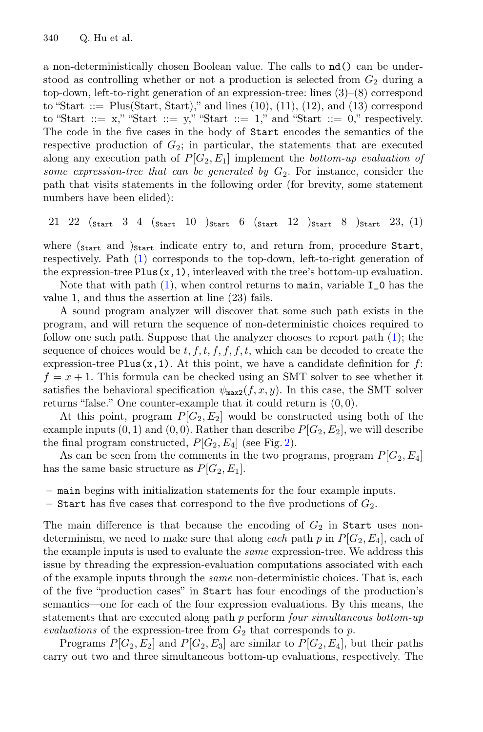a non-deterministically chosen Boolean value. The calls to nd() can be understood as controlling whether or not a production is selected from  $G_2$  during a top-down, left-to-right generation of an expression-tree: lines (3)–(8) correspond to "Start  $::=$  Plus(Start, Start)," and lines  $(10)$ ,  $(11)$ ,  $(12)$ , and  $(13)$  correspond to "Start ::=  $x$ ," "Start ::=  $y$ ," "Start ::= 1," and "Start ::= 0," respectively. The code in the five cases in the body of Start encodes the semantics of the respective production of  $G_2$ ; in particular, the statements that are executed along any execution path of  $P[G_2, E_1]$  implement the *bottom-up evaluation of some expression-tree that can be generated by*  $G_2$ . For instance, consider the path that visits statements in the following order (for brevity, some statement numbers have been elided):

<span id="page-5-0"></span>
$$
21 \ 22 \ \ ( \text{start} \ 3 \ 4 \ \ ( \text{start} \ 10 \ \ ) \text{start} \ 6 \ \ ( \text{start} \ 12 \ \ ) \text{start} \ 8 \ \ ) \text{start} \ 23, \ (1)
$$

where  $(s_{\text{start}})$  and  $(s_{\text{start}})$  indicate entry to, and return from, procedure Start, respectively. Path [\(1\)](#page-5-0) corresponds to the top-down, left-to-right generation of the expression-tree  $Plus(x,1)$ , interleaved with the tree's bottom-up evaluation.

Note that with path  $(1)$ , when control returns to main, variable  $I_0$  has the value 1, and thus the assertion at line (23) fails.

A sound program analyzer will discover that some such path exists in the program, and will return the sequence of non-deterministic choices required to follow one such path. Suppose that the analyzer chooses to report path [\(1\)](#page-5-0); the sequence of choices would be  $t, f, t, f, f, f, t$ , which can be decoded to create the expression-tree Plus $(x,1)$ . At this point, we have a candidate definition for f:  $f = x + 1$ . This formula can be checked using an SMT solver to see whether it satisfies the behavioral specification  $\psi_{\texttt{max2}}(f, x, y)$ . In this case, the SMT solver returns "false." One counter-example that it could return is  $(0, 0)$ .

At this point, program  $P[G_2, E_2]$  would be constructed using both of the example inputs  $(0, 1)$  and  $(0, 0)$ . Rather than describe  $P[G_2, E_2]$ , we will describe the final program constructed,  $P[G_2, E_4]$  (see Fig. [2\)](#page-6-0).

As can be seen from the comments in the two programs, program  $P[G_2, E_4]$ has the same basic structure as  $P[G_2, E_1]$ .

- main begins with initialization statements for the four example inputs.
- Start has five cases that correspond to the five productions of  $G_2$ .

The main difference is that because the encoding of  $G_2$  in Start uses nondeterminism, we need to make sure that along *each* path p in  $P[G_2, E_4]$ , each of the example inputs is used to evaluate the *same* expression-tree. We address this issue by threading the expression-evaluation computations associated with each of the example inputs through the *same* non-deterministic choices. That is, each of the five "production cases" in Start has four encodings of the production's semantics—one for each of the four expression evaluations. By this means, the statements that are executed along path p perform *four simultaneous bottom-up evaluations* of the expression-tree from  $G_2$  that corresponds to p.

Programs  $P[G_2, E_2]$  and  $P[G_2, E_3]$  are similar to  $P[G_2, E_4]$ , but their paths carry out two and three simultaneous bottom-up evaluations, respectively. The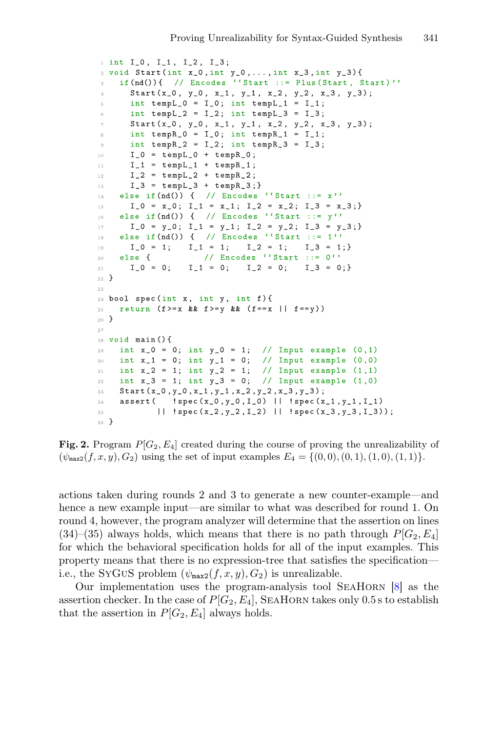```
i int I_0, I_1, I_2, I_3;
2 void Start(int x_0, int y_0, ..., int x_0, int y_0) {
    if (nd()) { // Encodes ''Start ::= Plus (Start, Start)''
\overline{z}Start (x_0, y_0, x_1, y_1, x_2, y_2, x_3, y_3);\bar{A}int tempL_0 = I_0; int tempL_1 = I_1;
\bar{g}int tempL_2 = I_2; int tempL_3 = I_3;
\overline{6}Start (x_0, y_0, x_1, y_1, x_2, y_2, x_3, y_3);\overline{7}int tempR_0 = I_0; int tempR_1 = I_1;
\alphaint tempR_2 = I_2; int tempR_3 = I_3;
\alphaI_0 = tempL_0 + tempR_0;10<sup>1</sup>I_1 = tempL_1 + tempR_1;1112\overline{ }I_2 = tempL_2 + tempR_2;
      I_3 = tempL_3 + tempR_3;13else if (nd()) { // Encodes ''Start ::= x''
1.4 -I_0 = x_0; I_1 = x_1; I_2 = x_2; I_3 = x_3;15
   else if (nd()) { // Encodes ''Start ::= y''
16 -17 -I_0 = y_0; I_1 = y_1; I_2 = y_2; I_3 = y_3;else if (nd()) { // Encodes ''Start ::= 1''
18
      I_0 = 1; I_1 = 1;I_2 = 1;I_3 = 1;19-else f// Encodes ''Start ::= 0''
_{\rm 20}I_0 = 0;I_1 = 0; \tI_2 = 0; \tI_3 = 0;\sqrt{21}22 }
23
24 bool spec(int x, int y, int f){
2\,5 .
    return (f>=x \& x f>=y \& x (f==x || f==y))26}
27
28 void main () {
  int x_0 = 0; int y_0 = 1; // Input example (0, 1)29
    int x_1 = 0; int y_1 = 0; // Input example (0,0)30^{\circ}int x_2 = 1; int y_2 = 1; // Input example (1,1)
31int x_3 = 1; int y_3 = 0;
                                 // Input example (1,0)32 -Start (x_0, y_0, x_1, y_1, x_2, y_2, x_3, y_3);22 -34 assert (!spec(x_0,y_0,I_0) | |!spec(x_1,y_1,I_1)
3\,5^-|| !spec(x_2,y_2,I_2) || !spec(x_3,y_3,I_3));
36<sup>3</sup>
```
<span id="page-6-0"></span>Fig. 2. Program  $P[G_2, E_4]$  created during the course of proving the unrealizability of  $(\psi_{\text{max2}}(f, x, y), G_2)$  using the set of input examples  $E_4 = \{(0, 0), (0, 1), (1, 0), (1, 1)\}.$ 

actions taken during rounds 2 and 3 to generate a new counter-example—and hence a new example input—are similar to what was described for round 1. On round 4, however, the program analyzer will determine that the assertion on lines  $(34)$ – $(35)$  always holds, which means that there is no path through  $P[G_2, E_4]$ for which the behavioral specification holds for all of the input examples. This property means that there is no expression-tree that satisfies the specification i.e., the SYGUS problem  $(\psi_{\text{max2}}(f, x, y), G_2)$  is unrealizable.

Our implementation uses the program-analysis tool SeaHorn [\[8\]](#page-16-5) as the assertion checker. In the case of  $P[G_2, E_4]$ , SEAHORN takes only 0.5 s to establish that the assertion in  $P[G_2, E_4]$  always holds.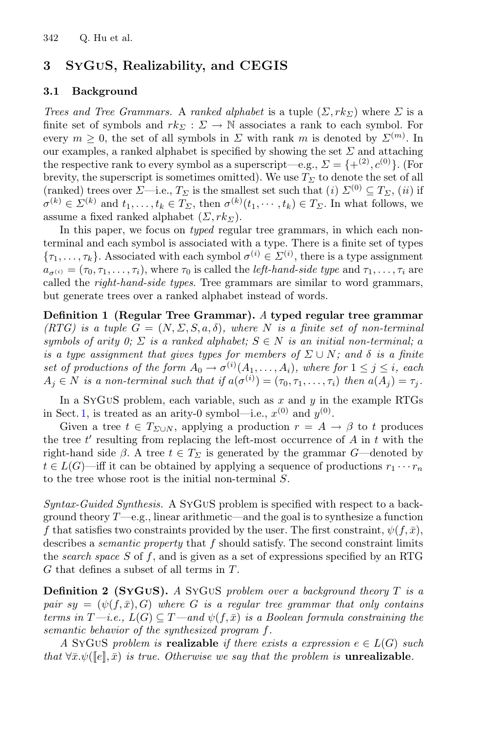## <span id="page-7-0"></span>3 SyGuS, Realizability, and CEGIS

### 3.1 Background

*Trees and Tree Grammars.* A *ranked alphabet* is a tuple  $(\Sigma, rk_{\Sigma})$  where  $\Sigma$  is a finite set of symbols and  $rk_{\Sigma}: \Sigma \to \mathbb{N}$  associates a rank to each symbol. For every  $m \geq 0$ , the set of all symbols in  $\Sigma$  with rank m is denoted by  $\Sigma^{(m)}$ . In our examples, a ranked alphabet is specified by showing the set  $\Sigma$  and attaching the respective rank to every symbol as a superscript—e.g.,  $\Sigma = \{+(2), (0), (0), (0)\}$ brevity, the superscript is sometimes omitted). We use  $T_{\Sigma}$  to denote the set of all (ranked) trees over  $\Sigma$ —i.e.,  $T_{\Sigma}$  is the smallest set such that (*i*)  $\Sigma^{(0)} \subseteq T_{\Sigma}$ , (*ii*) if  $\sigma^{(k)} \in \Sigma^{(k)}$  and  $t_1, \ldots, t_k \in T_\Sigma$ , then  $\sigma^{(k)}(t_1, \cdots, t_k) \in T_\Sigma$ . In what follows, we assume a fixed ranked alphabet  $(\Sigma, rk_{\Sigma}).$ 

In this paper, we focus on *typed* regular tree grammars, in which each nonterminal and each symbol is associated with a type. There is a finite set of types  ${\lbrace \tau_1,\ldots,\tau_k \rbrace}$ . Associated with each symbol  $\sigma^{(i)} \in \Sigma^{(i)}$ , there is a type assignment  $a_{\sigma(i)} = (\tau_0, \tau_1, \ldots, \tau_i)$ , where  $\tau_0$  is called the *left-hand-side type* and  $\tau_1, \ldots, \tau_i$  are called the *right-hand-side types*. Tree grammars are similar to word grammars, but generate trees over a ranked alphabet instead of words.

Definition 1 (Regular Tree Grammar). *A* typed regular tree grammar *(RTG) is a tuple*  $G = (N, \Sigma, S, a, \delta)$ *, where* N *is a finite set of non-terminal symbols of arity 0;*  $\Sigma$  *is a ranked alphabet;*  $S \in N$  *is an initial non-terminal; a is a type assignment that gives types for members of*  $\Sigma \cup N$ *; and*  $\delta$  *is a finite set of productions of the form*  $A_0 \to \sigma^{(i)}(A_1, \ldots, A_i)$ *, where for*  $1 \leq j \leq i$ *, each*  $A_i \in N$  *is a non-terminal such that if*  $a(\sigma^{(i)})=(\tau_0, \tau_1,\ldots,\tau_i)$  *then*  $a(A_i)=\tau_i$ *.* 

In a SyGuS problem, each variable, such as x and  $\eta$  in the example RTGs in Sect. [1,](#page-0-0) is treated as an arity-0 symbol—i.e.,  $x^{(0)}$  and  $y^{(0)}$ .

Given a tree  $t \in T_{\Sigma \cup N}$ , applying a production  $r = A \rightarrow \beta$  to t produces the tree  $t'$  resulting from replacing the left-most occurrence of  $A$  in  $t$  with the right-hand side  $\beta$ . A tree  $t \in T_{\Sigma}$  is generated by the grammar G—denoted by  $t \in L(G)$ —iff it can be obtained by applying a sequence of productions  $r_1 \cdots r_n$ to the tree whose root is the initial non-terminal S.

*Syntax-Guided Synthesis.* A SyGuS problem is specified with respect to a background theory  $T$ —e.g., linear arithmetic—and the goal is to synthesize a function f that satisfies two constraints provided by the user. The first constraint,  $\psi(f,\bar{x})$ , describes a *semantic property* that f should satisfy. The second constraint limits the *search space* S of f, and is given as a set of expressions specified by an RTG G that defines a subset of all terms in T.

Definition 2 (SyGuS). *A* SyGuS *problem over a background theory* T *is a pair*  $sy = (\psi(f, \bar{x}), G)$  *where* G *is a regular tree grammar that only contains terms in*  $T$ —*i.e.,*  $L(G) \subseteq T$ —and  $\psi(f,\bar{x})$  *is a Boolean formula constraining the semantic behavior of the synthesized program* f*.*

*A* SyGUS *problem is* **realizable** *if there exists a expression*  $e \in L(G)$  *such that*  $\forall \bar{x}.\psi([\![e], \bar{x})$  *is true. Otherwise we say that the problem is unrealizable.*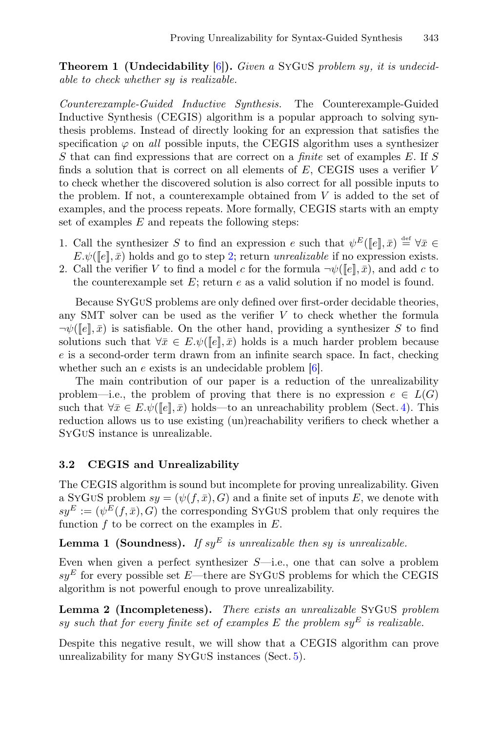Theorem 1 (Undecidability [\[6\]](#page-16-3)). *Given a* SyGuS *problem* sy*, it is undecidable to check whether* sy *is realizable.*

<span id="page-8-0"></span>*Counterexample-Guided Inductive Synthesis.* The Counterexample-Guided Inductive Synthesis (CEGIS) algorithm is a popular approach to solving synthesis problems. Instead of directly looking for an expression that satisfies the specification  $\varphi$  on *all* possible inputs, the CEGIS algorithm uses a synthesizer S that can find expressions that are correct on a *finite* set of examples E. If S finds a solution that is correct on all elements of  $E$ , CEGIS uses a verifier  $V$ to check whether the discovered solution is also correct for all possible inputs to the problem. If not, a counterexample obtained from  $V$  is added to the set of examples, and the process repeats. More formally, CEGIS starts with an empty set of examples  $E$  and repeats the following steps:

- 1. Call the synthesizer S to find an expression e such that  $\psi^E([\![e]\!], \bar{x}) \stackrel{\text{def}}{=} \forall \bar{x} \in \mathbb{R}$  $E.\psi(\llbracket e \rrbracket, \bar{x})$  holds and go to step [2;](#page-8-0) return *unrealizable* if no expression exists.
- 2. Call the verifier V to find a model c for the formula  $\neg \psi([\![e]\!], \bar{x})$ , and add c to the counterexample set  $E$ ; return  $e$  as a valid solution if no model is found.

Because SyGuS problems are only defined over first-order decidable theories, any SMT solver can be used as the verifier  $V$  to check whether the formula  $\neg \psi([e], \bar{x})$  is satisfiable. On the other hand, providing a synthesizer S to find solutions such that  $\forall \bar{x} \in E.\psi(\llbracket e \rrbracket, \bar{x})$  holds is a much harder problem because e is a second-order term drawn from an infinite search space. In fact, checking whether such an  $e$  exists is an undecidable problem  $[6]$ .

The main contribution of our paper is a reduction of the unrealizability problem—i.e., the problem of proving that there is no expression  $e \in L(G)$ such that  $\forall \bar{x} \in E.\psi(\llbracket e \rrbracket, \bar{x})$  holds—to an unreachability problem (Sect. [4\)](#page-9-0). This reduction allows us to use existing (un)reachability verifiers to check whether a SyGuS instance is unrealizable.

### 3.2 CEGIS and Unrealizability

The CEGIS algorithm is sound but incomplete for proving unrealizability. Given a SyGuS problem  $sy = (\psi(f, \bar{x}), G)$  and a finite set of inputs E, we denote with  $s y^E := (\psi^E(f, \bar{x}), G)$  the corresponding SyGuS problem that only requires the function  $f$  to be correct on the examples in  $E$ .

### **Lemma 1 (Soundness).** If sy<sup>E</sup> is unrealizable then sy is unrealizable.

Even when given a perfect synthesizer  $S$ —i.e., one that can solve a problem  $sy^E$  for every possible set E—there are SYGUS problems for which the CEGIS algorithm is not powerful enough to prove unrealizability.

<span id="page-8-1"></span>Lemma 2 (Incompleteness). *There exists an unrealizable* SyGuS *problem* sy such that for every finite set of examples  $E$  the problem  $sy^E$  is realizable.

Despite this negative result, we will show that a CEGIS algorithm can prove unrealizability for many SyGuS instances (Sect. [5\)](#page-12-0).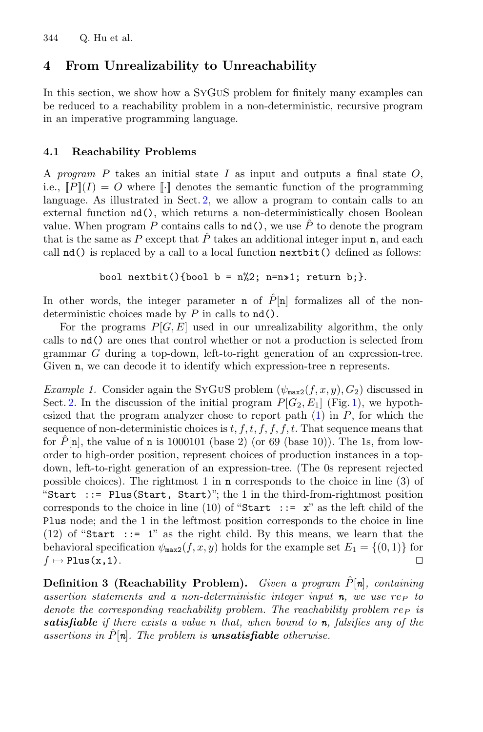## <span id="page-9-0"></span>4 From Unrealizability to Unreachability

In this section, we show how a SyGuS problem for finitely many examples can be reduced to a reachability problem in a non-deterministic, recursive program in an imperative programming language.

### 4.1 Reachability Problems

A *program* P takes an initial state I as input and outputs a final state O, i.e.,  $||P||(I) = O$  where  $||\cdot||$  denotes the semantic function of the programming language. As illustrated in Sect. [2,](#page-3-0) we allow a program to contain calls to an external function nd(), which returns a non-deterministically chosen Boolean value. When program P contains calls to  $\mathbf{nd}$ ), we use  $\hat{P}$  to denote the program that is the same as P except that  $\hat{P}$  takes an additional integer input n, and each call nd() is replaced by a call to a local function nextbit() defined as follows:

```
bool nextbit(){bool b = n\text{/}2; n=n»1; return b; }.
```
In other words, the integer parameter **n** of  $\overline{P}$ [n] formalizes all of the nondeterministic choices made by  $P$  in calls to  $nd()$ .

For the programs  $P[G, E]$  used in our unrealizability algorithm, the only calls to nd() are ones that control whether or not a production is selected from grammar G during a top-down, left-to-right generation of an expression-tree. Given n, we can decode it to identify which expression-tree n represents.

<span id="page-9-2"></span>*Example 1.* Consider again the SYGUS problem  $(\psi_{\text{max2}}(f, x, y), G_2)$  discussed in Sect. [2.](#page-3-0) In the discussion of the initial program  $P[G_2, E_1]$  (Fig. [1\)](#page-4-0), we hypothesized that the program analyzer chose to report path  $(1)$  in P, for which the sequence of non-deterministic choices is  $t, f, t, f, f, f, t$ . That sequence means that for  $\hat{P}[\mathbf{n}]$ , the value of  $\mathbf{n}$  is 1000101 (base 2) (or 69 (base 10)). The 1s, from loworder to high-order position, represent choices of production instances in a topdown, left-to-right generation of an expression-tree. (The 0s represent rejected possible choices). The rightmost 1 in n corresponds to the choice in line (3) of "Start ::= Plus(Start, Start)"; the 1 in the third-from-rightmost position corresponds to the choice in line (10) of "Start ::=  $x$ " as the left child of the Plus node; and the 1 in the leftmost position corresponds to the choice in line (12) of "Start ::= 1" as the right child. By this means, we learn that the behavioral specification  $\psi_{\text{max2}}(f, x, y)$  holds for the example set  $E_1 = \{(0, 1)\}\$  for  $f \mapsto \text{Plus}(x, 1)$ .  $f \mapsto {\tt Plus(x,1)}.$ 

<span id="page-9-1"></span>**Definition 3 (Reachability Problem).** *Given a program*  $\hat{P}[\boldsymbol{n}]$ *, containing assertion statements and a non-deterministic integer input n, we use rep to denote the corresponding reachability problem. The reachability problem rep is satisfiable if there exists a value* n *that, when bound to n, falsifies any of the assertions in*  $\hat{P}[\mathbf{n}]$ *. The problem is unsatisfiable <i>otherwise.*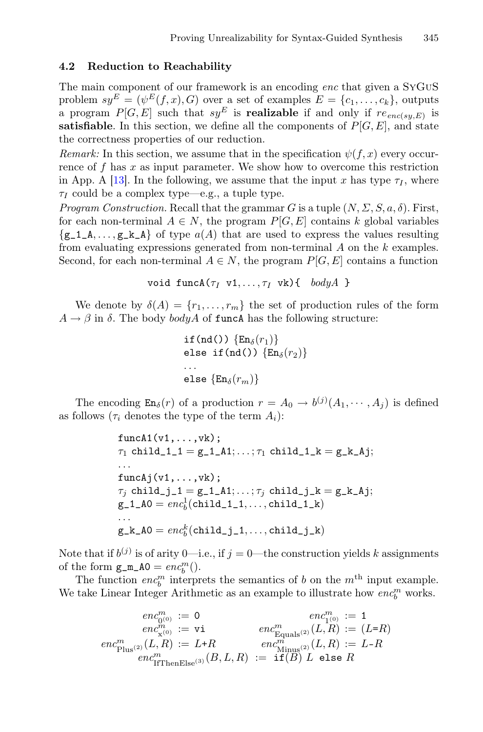#### 4.2 Reduction to Reachability

The main component of our framework is an encoding *enc* that given a SyGuS problem  $sy^E = (\psi^E(f, x), G)$  over a set of examples  $E = \{c_1, \ldots, c_k\}$ , outputs a program  $P[G, E]$  such that  $sy^E$  is **realizable** if and only if  $re_{enc(sy, E)}$  is satisfiable. In this section, we define all the components of  $P[G, E]$ , and state the correctness properties of our reduction.

*Remark:* In this section, we assume that in the specification  $\psi(f, x)$  every occurrence of  $f$  has  $x$  as input parameter. We show how to overcome this restriction in App. A [\[13](#page-17-0)]. In the following, we assume that the input x has type  $\tau_I$ , where  $\tau_I$  could be a complex type—e.g., a tuple type.

*Program Construction.* Recall that the grammar G is a tuple  $(N, \Sigma, S, a, \delta)$ . First, for each non-terminal  $A \in N$ , the program  $P[G, E]$  contains k global variables  $\{g_1, \ldots, g_k\}$  of type  $a(A)$  that are used to express the values resulting from evaluating expressions generated from non-terminal A on the k examples. Second, for each non-terminal  $A \in N$ , the program  $P[G, E]$  contains a function

$$
\text{void funcA}(\tau_I \ \ v1, \ldots, \tau_I \ \ vk) \{ \quad bodyA \ \}
$$

We denote by  $\delta(A) = \{r_1, \ldots, r_m\}$  the set of production rules of the form  $A \rightarrow \beta$  in  $\delta$ . The body *bodyA* of funcA has the following structure:

```
if(nd()) \{En_{\delta}(r_1)\}\else if(nd()) \{En_{\delta}(r_2)\}...
else \{En_{\delta}(r_m)\}
```
The encoding  $\text{En}_{\delta}(r)$  of a production  $r = A_0 \rightarrow b^{(j)}(A_1, \dots, A_j)$  is defined as follows ( $\tau_i$  denotes the type of the term  $A_i$ ):

> $funcA1(v1,...,vk);$  $\tau_1$  child\_1\_1 = g\_1\_A1;...;  $\tau_1$  child\_1\_k = g\_k\_Aj; ...  $funcAj(v1,...,vk);$  $\tau_j$  child\_j\_1 = g\_1\_A1;...;  $\tau_j$  child\_j\_k = g\_k\_Aj;  $\mathrm{g\_1\_A0} = \mathit{enc}^{1}_{b} \mathrm{(child\_1\_1}, \ldots, \mathrm{child\_1\_k})$ ...  $\mathtt{g\_k\_AO} = \mathit{enc}_b^k(\texttt{child\_j\_1},\dots,\texttt{child\_j\_k})$

Note that if  $b^{(j)}$  is of arity 0—i.e., if  $j = 0$ —the construction yields k assignments of the form  $g_m_A0 = enc_b^m$ .

The function  $enc_b^m$  interprets the semantics of b on the  $m<sup>th</sup>$  input example. We take Linear Integer Arithmetic as an example to illustrate how  $enc_b^m$  works.

$$
\begin{array}{rcl} \mathit{enc}^m_{0^{(0)}}\coloneqq 0 & \mathit{enc}^m_{1^{(0)}}\coloneqq 1\\ \mathit{enc}^m_{\chi^{(0)}}\coloneqq \mathtt{vi} & \mathit{enc}^m_{\mathrm{Equals}^{(2)}}(L,R)\coloneqq (L\text{=}R)\\ \mathit{enc}^m_{\mathrm{Plus}^{(2)}}(L,R)\coloneqq L\text{+}R & \mathit{enc}^m_{\mathrm{Minus}^{(2)}}(L,R)\coloneqq L\text{-}R\\ \mathit{enc}^m_{\mathrm{IfThenElse}^{(3)}}(B,L,R)\coloneqq \mathtt{if}(B)\ L\ \mathtt{else}\ R \end{array}
$$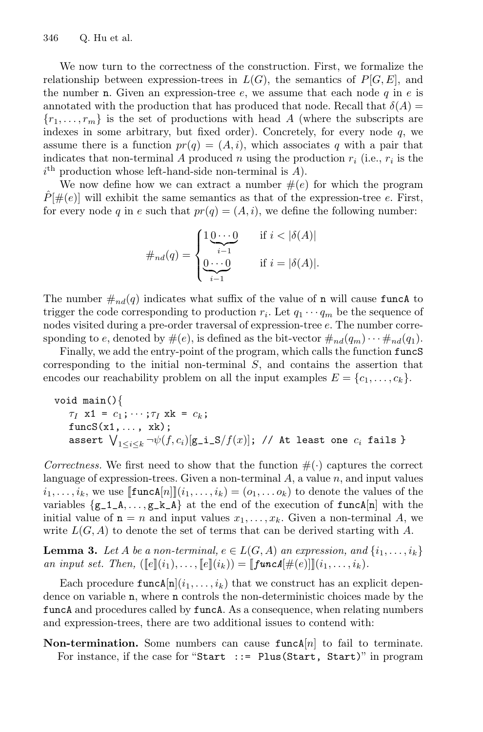We now turn to the correctness of the construction. First, we formalize the relationship between expression-trees in  $L(G)$ , the semantics of  $P[G, E]$ , and the number **n**. Given an expression-tree  $e$ , we assume that each node q in e is annotated with the production that has produced that node. Recall that  $\delta(A)$  =  ${r_1,\ldots,r_m}$  is the set of productions with head A (where the subscripts are indexes in some arbitrary, but fixed order). Concretely, for every node  $q$ , we assume there is a function  $pr(q)=(A, i)$ , which associates q with a pair that indicates that non-terminal A produced n using the production  $r_i$  (i.e.,  $r_i$  is the  $i<sup>th</sup>$  production whose left-hand-side non-terminal is  $A$ ).

We now define how we can extract a number  $\#(e)$  for which the program  $\hat{P}[\#(e)]$  will exhibit the same semantics as that of the expression-tree e. First, for every node q in e such that  $pr(q)=(A, i)$ , we define the following number:

#nd(q) = ⎧ ⎪⎪⎨ ⎪⎪⎩ 1 0 ··· <sup>0</sup> <sup>i</sup>−<sup>1</sup> if i < <sup>|</sup>δ(A)<sup>|</sup> 0 ··· 0 i−1 if <sup>i</sup> <sup>=</sup> <sup>|</sup>δ(A)|.

The number  $\#_{nd}(q)$  indicates what suffix of the value of n will cause function trigger the code corresponding to production  $r_i$ . Let  $q_1 \cdots q_m$  be the sequence of nodes visited during a pre-order traversal of expression-tree e. The number corresponding to e, denoted by  $\#(e)$ , is defined as the bit-vector  $\#_{nd}(q_m) \cdots \#_{nd}(q_1)$ .

Finally, we add the entry-point of the program, which calls the function funcS corresponding to the initial non-terminal  $S$ , and contains the assertion that encodes our reachability problem on all the input examples  $E = \{c_1, \ldots, c_k\}.$ 

```
\nvoid main() {\n    7I x1 = 
$$
c_1
$$
; ...; 7I xk =  $c_k$ ;\n    funcS(x1, ... , xk);\n    assert\n     $\bigvee_{1 \leq i \leq k} \neg \psi(f, c_i)[g_i_S/f(x)]; \text{ // At least one } c_i \text{ fails }\n}\n$ \n
```

*Correctness.* We first need to show that the function  $\#(\cdot)$  captures the correct language of expression-trees. Given a non-terminal  $A$ , a value  $n$ , and input values  $i_1,\ldots,i_k$ , we use  $[\![\text{funcA}[n]\!](i_1,\ldots,i_k)=(o_1,\ldots o_k)$  to denote the values of the variables  $\{g_1, \ldots, g_k, A\}$  at the end of the execution of funca $[n]$  with the initial value of  $n = n$  and input values  $x_1, \ldots, x_k$ . Given a non-terminal A, we write  $L(G, A)$  to denote the set of terms that can be derived starting with A.

**Lemma 3.** Let A be a non-terminal,  $e \in L(G, A)$  an expression, and  $\{i_1, \ldots, i_k\}$ *an input set. Then,*  $([e](i_1),..., [e](i_k)) = [[funcA] \#(e)]](i_1,...,i_k)$ *.* 

Each procedure  $\text{funcA}[n](i_1,\ldots,i_k)$  that we construct has an explicit dependence on variable n, where n controls the non-deterministic choices made by the funcA and procedures called by funcA. As a consequence, when relating numbers and expression-trees, there are two additional issues to contend with:

Non-termination. Some numbers can cause  $funcA[n]$  to fail to terminate. For instance, if the case for "Start ::= Plus(Start, Start)" in program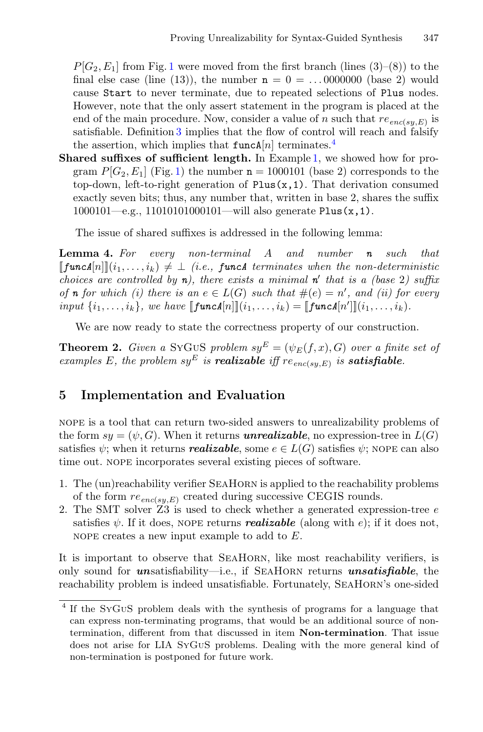$P[G_2, E_1]$  $P[G_2, E_1]$  $P[G_2, E_1]$  from Fig. 1 were moved from the first branch (lines (3)–(8)) to the final else case (line (13)), the number  $n = 0 = \dots 0000000$  (base 2) would cause Start to never terminate, due to repeated selections of Plus nodes. However, note that the only assert statement in the program is placed at the end of the main procedure. Now, consider a value of n such that  $re_{enc(sy,E)}$  is satisfiable. Definition [3](#page-9-1) implies that the flow of control will reach and falsify the assertion, which implies that  $funcA[n]$  terminates.<sup>[4](#page-12-1)</sup>

Shared suffixes of sufficient length. In Example [1,](#page-9-2) we showed how for program  $P[G_2, E_1]$  (Fig. [1\)](#page-4-0) the number  $n = 1000101$  (base 2) corresponds to the top-down, left-to-right generation of  $Plus(x,1)$ . That derivation consumed exactly seven bits; thus, any number that, written in base 2, shares the suffix 1000101—e.g., 11010101000101—will also generate Plus(x,1).

The issue of shared suffixes is addressed in the following lemma:

Lemma 4. *For every non-terminal* A *and number n such that*  $[\![\mathbf{funcA}[n]\!](i_1,\ldots,i_k) \neq \bot$  *(i.e.,* **funca** *terminates when the non-deterministic choices are controlled by* **n***), there exists a minimal* **n**<sup>*t*</sup> that is a (base 2) suffix *of n for which* (*i*) *there is* an  $e \in L(G)$  *such that*  $\#(e) = n'$ , and (*ii*) *for every input*  $\{i_1, ..., i_k\}$ *, we have*  $[\text{funcA}[n]](i_1, ..., i_k) = [\text{funcA}[n']](i_1, ..., i_k)$ *.* 

We are now ready to state the correctness property of our construction.

**Theorem 2.** *Given a* SYGUS *problem*  $s y^E = (\psi_E(f, x), G)$  *over a finite set of examples* E, the problem  $sy^E$  *is* **realizable** *iff*  $re_{enc(sy,E)}$  *is satisfiable.* 

## <span id="page-12-0"></span>5 Implementation and Evaluation

nope is a tool that can return two-sided answers to unrealizability problems of the form  $sy = (\psi, G)$ . When it returns **unrealizable**, no expression-tree in  $L(G)$ satisfies  $\psi$ ; when it returns *realizable*, some  $e \in L(G)$  satisfies  $\psi$ ; NOPE can also time out. nope incorporates several existing pieces of software.

- 1. The (un)reachability verifier SeaHorn is applied to the reachability problems of the form  $re_{enc(sy,E)}$  created during successive CEGIS rounds.
- 2. The SMT solver Z3 is used to check whether a generated expression-tree e satisfies  $\psi$ . If it does, NOPE returns *realizable* (along with e); if it does not, NOPE creates a new input example to add to  $E$ .

It is important to observe that SeaHorn, like most reachability verifiers, is only sound for *un*satisfiability—i.e., if SeaHorn returns *unsatisfiable*, the reachability problem is indeed unsatisfiable. Fortunately, SeaHorn's one-sided

<span id="page-12-1"></span><sup>4</sup> If the SyGuS problem deals with the synthesis of programs for a language that can express non-terminating programs, that would be an additional source of nontermination, different from that discussed in item Non-termination. That issue does not arise for LIA SyGuS problems. Dealing with the more general kind of non-termination is postponed for future work.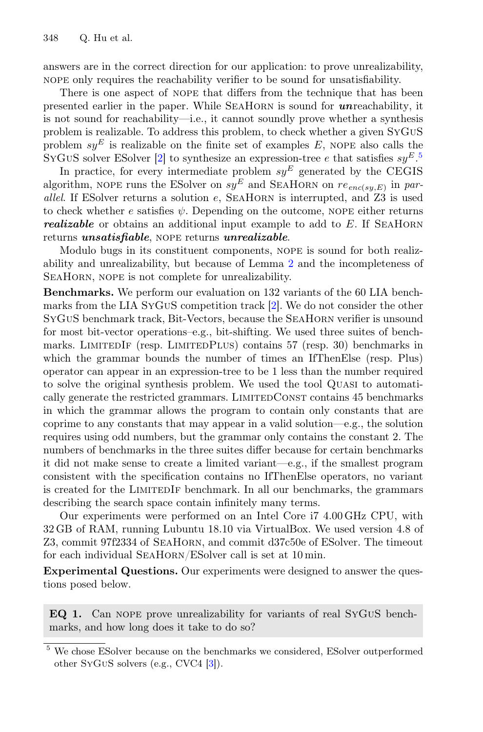answers are in the correct direction for our application: to prove unrealizability, nope only requires the reachability verifier to be sound for unsatisfiability.

There is one aspect of nope that differs from the technique that has been presented earlier in the paper. While SeaHorn is sound for *un*reachability, it is not sound for reachability—i.e., it cannot soundly prove whether a synthesis problem is realizable. To address this problem, to check whether a given SyGuS problem  $sy^E$  is realizable on the finite set of examples E, NOPE also calls the SYGUS solver ESolver [\[2](#page-16-1)] to synthesize an expression-tree e that satisfies  $sy^{E.5}$  $sy^{E.5}$  $sy^{E.5}$ 

In practice, for every intermediate problem  $sy^E$  generated by the CEGIS algorithm, NOPE runs the ESolver on  $sy^E$  and SEAHORN on  $re_{enc(sy,E)}$  in par*allel*. If ESolver returns a solution e, SEAHORN is interrupted, and Z3 is used to check whether e satisfies  $\psi$ . Depending on the outcome, NOPE either returns *realizable* or obtains an additional input example to add to E. If SEAHORN returns *unsatisfiable*, nope returns *unrealizable*.

Modulo bugs in its constituent components, nope is sound for both realizability and unrealizability, but because of Lemma [2](#page-8-1) and the incompleteness of SEAHORN, NOPE is not complete for unrealizability.

Benchmarks. We perform our evaluation on 132 variants of the 60 LIA benchmarks from the LIA SyGuS competition track [\[2\]](#page-16-1). We do not consider the other SyGuS benchmark track, Bit-Vectors, because the SeaHorn verifier is unsound for most bit-vector operations–e.g., bit-shifting. We used three suites of benchmarks. LimitedIf (resp. LimitedPlus) contains 57 (resp. 30) benchmarks in which the grammar bounds the number of times an IfThenElse (resp. Plus) operator can appear in an expression-tree to be 1 less than the number required to solve the original synthesis problem. We used the tool Quasi to automatically generate the restricted grammars. LIMITEDCONST contains 45 benchmarks in which the grammar allows the program to contain only constants that are coprime to any constants that may appear in a valid solution—e.g., the solution requires using odd numbers, but the grammar only contains the constant 2. The numbers of benchmarks in the three suites differ because for certain benchmarks it did not make sense to create a limited variant—e.g., if the smallest program consistent with the specification contains no IfThenElse operators, no variant is created for the LimitedIf benchmark. In all our benchmarks, the grammars describing the search space contain infinitely many terms.

Our experiments were performed on an Intel Core i7 4.00 GHz CPU, with 32 GB of RAM, running Lubuntu 18.10 via VirtualBox. We used version 4.8 of Z3, commit 97f2334 of SeaHorn, and commit d37c50e of ESolver. The timeout for each individual SEAHORN/ESolver call is set at 10 min.

Experimental Questions. Our experiments were designed to answer the questions posed below.

EQ 1. Can nope prove unrealizability for variants of real SyGuS benchmarks, and how long does it take to do so?

<span id="page-13-0"></span><sup>5</sup> We chose ESolver because on the benchmarks we considered, ESolver outperformed other SyGuS solvers (e.g., CVC4 [\[3](#page-16-6)]).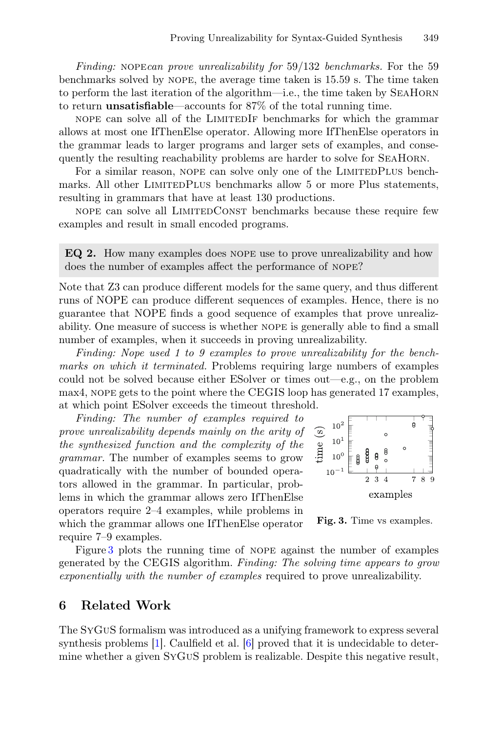*Finding:* nope*can prove unrealizability for* 59/132 *benchmarks.* For the 59 benchmarks solved by nope, the average time taken is 15.59 s. The time taken to perform the last iteration of the algorithm—i.e., the time taken by SeaHorn to return unsatisfiable—accounts for 87% of the total running time.

nope can solve all of the LimitedIf benchmarks for which the grammar allows at most one IfThenElse operator. Allowing more IfThenElse operators in the grammar leads to larger programs and larger sets of examples, and consequently the resulting reachability problems are harder to solve for SeaHorn.

For a similar reason, NOPE can solve only one of the LIMITEDPLUS benchmarks. All other LIMITEDPLUS benchmarks allow 5 or more Plus statements, resulting in grammars that have at least 130 productions.

nope can solve all LimitedConst benchmarks because these require few examples and result in small encoded programs.

EQ 2. How many examples does nope use to prove unrealizability and how does the number of examples affect the performance of nope?

Note that Z3 can produce different models for the same query, and thus different runs of NOPE can produce different sequences of examples. Hence, there is no guarantee that NOPE finds a good sequence of examples that prove unrealizability. One measure of success is whether nope is generally able to find a small number of examples, when it succeeds in proving unrealizability.

*Finding: Nope used 1 to 9 examples to prove unrealizability for the benchmarks on which it terminated.* Problems requiring large numbers of examples could not be solved because either ESolver or times out—e.g., on the problem max4, nope gets to the point where the CEGIS loop has generated 17 examples, at which point ESolver exceeds the timeout threshold.

*Finding: The number of examples required to prove unrealizability depends mainly on the arity of the synthesized function and the complexity of the grammar.* The number of examples seems to grow quadratically with the number of bounded operators allowed in the grammar. In particular, problems in which the grammar allows zero IfThenElse operators require 2–4 examples, while problems in which the grammar allows one IfThenElse operator require 7–9 examples.



<span id="page-14-1"></span>

Figure [3](#page-14-1) plots the running time of nope against the number of examples generated by the CEGIS algorithm. *Finding: The solving time appears to grow exponentially with the number of examples* required to prove unrealizability.

### <span id="page-14-0"></span>6 Related Work

The SyGuS formalism was introduced as a unifying framework to express several synthesis problems [\[1\]](#page-16-0). Caulfield et al. [\[6\]](#page-16-3) proved that it is undecidable to determine whether a given SyGuS problem is realizable. Despite this negative result,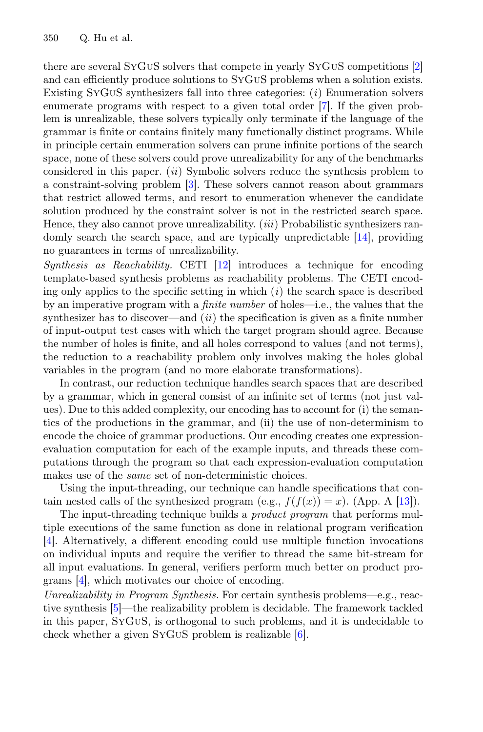there are several SyGuS solvers that compete in yearly SyGuS competitions [\[2](#page-16-1)] and can efficiently produce solutions to SyGuS problems when a solution exists. Existing SyGuS synthesizers fall into three categories: (*i*) Enumeration solvers enumerate programs with respect to a given total order [\[7\]](#page-16-7). If the given problem is unrealizable, these solvers typically only terminate if the language of the grammar is finite or contains finitely many functionally distinct programs. While in principle certain enumeration solvers can prune infinite portions of the search space, none of these solvers could prove unrealizability for any of the benchmarks considered in this paper. (*ii*) Symbolic solvers reduce the synthesis problem to a constraint-solving problem [\[3](#page-16-6)]. These solvers cannot reason about grammars that restrict allowed terms, and resort to enumeration whenever the candidate solution produced by the constraint solver is not in the restricted search space. Hence, they also cannot prove unrealizability. (*iii*) Probabilistic synthesizers randomly search the search space, and are typically unpredictable [\[14\]](#page-17-1), providing no guarantees in terms of unrealizability.

*Synthesis as Reachability.* CETI [\[12\]](#page-17-2) introduces a technique for encoding template-based synthesis problems as reachability problems. The CETI encoding only applies to the specific setting in which (*i*) the search space is described by an imperative program with a *finite number* of holes—i.e., the values that the synthesizer has to discover—and (*ii*) the specification is given as a finite number of input-output test cases with which the target program should agree. Because the number of holes is finite, and all holes correspond to values (and not terms), the reduction to a reachability problem only involves making the holes global variables in the program (and no more elaborate transformations).

In contrast, our reduction technique handles search spaces that are described by a grammar, which in general consist of an infinite set of terms (not just values). Due to this added complexity, our encoding has to account for (i) the semantics of the productions in the grammar, and (ii) the use of non-determinism to encode the choice of grammar productions. Our encoding creates one expressionevaluation computation for each of the example inputs, and threads these computations through the program so that each expression-evaluation computation makes use of the *same* set of non-deterministic choices.

Using the input-threading, our technique can handle specifications that contain nested calls of the synthesized program (e.g.,  $f(f(x)) = x$ ). (App. A [\[13](#page-17-0)]).

The input-threading technique builds a *product program* that performs multiple executions of the same function as done in relational program verification [\[4](#page-16-8)]. Alternatively, a different encoding could use multiple function invocations on individual inputs and require the verifier to thread the same bit-stream for all input evaluations. In general, verifiers perform much better on product programs [\[4\]](#page-16-8), which motivates our choice of encoding.

*Unrealizability in Program Synthesis.* For certain synthesis problems—e.g., reactive synthesis [\[5\]](#page-16-9)—the realizability problem is decidable. The framework tackled in this paper, SyGuS, is orthogonal to such problems, and it is undecidable to check whether a given SyGuS problem is realizable [\[6\]](#page-16-3).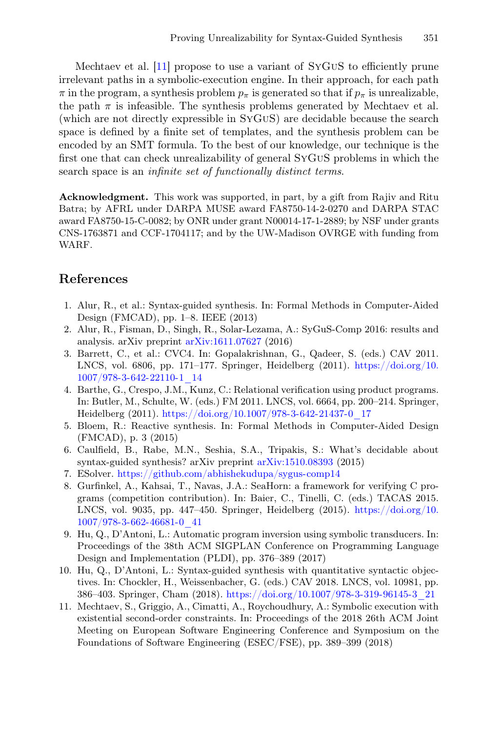Mechtaev et al. [\[11](#page-16-10)] propose to use a variant of SyGuS to efficiently prune irrelevant paths in a symbolic-execution engine. In their approach, for each path  $\pi$  in the program, a synthesis problem  $p_{\pi}$  is generated so that if  $p_{\pi}$  is unrealizable, the path  $\pi$  is infeasible. The synthesis problems generated by Mechtaev et al. (which are not directly expressible in SyGuS) are decidable because the search space is defined by a finite set of templates, and the synthesis problem can be encoded by an SMT formula. To the best of our knowledge, our technique is the first one that can check unrealizability of general SyGuS problems in which the search space is an *infinite set of functionally distinct terms*.

Acknowledgment. This work was supported, in part, by a gift from Rajiv and Ritu Batra; by AFRL under DARPA MUSE award FA8750-14-2-0270 and DARPA STAC award FA8750-15-C-0082; by ONR under grant N00014-17-1-2889; by NSF under grants CNS-1763871 and CCF-1704117; and by the UW-Madison OVRGE with funding from WARF.

## References

- <span id="page-16-0"></span>1. Alur, R., et al.: Syntax-guided synthesis. In: Formal Methods in Computer-Aided Design (FMCAD), pp. 1–8. IEEE (2013)
- <span id="page-16-1"></span>2. Alur, R., Fisman, D., Singh, R., Solar-Lezama, A.: SyGuS-Comp 2016: results and analysis. arXiv preprint [arXiv:1611.07627](http://arxiv.org/abs/1611.07627) (2016)
- <span id="page-16-6"></span>3. Barrett, C., et al.: CVC4. In: Gopalakrishnan, G., Qadeer, S. (eds.) CAV 2011. LNCS, vol. 6806, pp. 171–177. Springer, Heidelberg (2011). [https://doi.org/10.](https://doi.org/10.1007/978-3-642-22110-1_14) [1007/978-3-642-22110-1\\_14](https://doi.org/10.1007/978-3-642-22110-1_14)
- <span id="page-16-8"></span>4. Barthe, G., Crespo, J.M., Kunz, C.: Relational verification using product programs. In: Butler, M., Schulte, W. (eds.) FM 2011. LNCS, vol. 6664, pp. 200–214. Springer, Heidelberg (2011). [https://doi.org/10.1007/978-3-642-21437-0\\_17](https://doi.org/10.1007/978-3-642-21437-0_17)
- <span id="page-16-9"></span>5. Bloem, R.: Reactive synthesis. In: Formal Methods in Computer-Aided Design (FMCAD), p. 3 (2015)
- <span id="page-16-3"></span>6. Caulfield, B., Rabe, M.N., Seshia, S.A., Tripakis, S.: What's decidable about syntax-guided synthesis? arXiv preprint [arXiv:1510.08393](http://arxiv.org/abs/1510.08393) (2015)
- <span id="page-16-7"></span>7. ESolver. <https://github.com/abhishekudupa/sygus-comp14>
- <span id="page-16-5"></span>8. Gurfinkel, A., Kahsai, T., Navas, J.A.: SeaHorn: a framework for verifying C programs (competition contribution). In: Baier, C., Tinelli, C. (eds.) TACAS 2015. LNCS, vol. 9035, pp. 447–450. Springer, Heidelberg (2015). [https://doi.org/10.](https://doi.org/10.1007/978-3-662-46681-0_41) [1007/978-3-662-46681-0\\_41](https://doi.org/10.1007/978-3-662-46681-0_41)
- <span id="page-16-2"></span>9. Hu, Q., D'Antoni, L.: Automatic program inversion using symbolic transducers. In: Proceedings of the 38th ACM SIGPLAN Conference on Programming Language Design and Implementation (PLDI), pp. 376–389 (2017)
- <span id="page-16-4"></span>10. Hu, Q., D'Antoni, L.: Syntax-guided synthesis with quantitative syntactic objectives. In: Chockler, H., Weissenbacher, G. (eds.) CAV 2018. LNCS, vol. 10981, pp. 386–403. Springer, Cham (2018). [https://doi.org/10.1007/978-3-319-96145-3\\_21](https://doi.org/10.1007/978-3-319-96145-3_21)
- <span id="page-16-10"></span>11. Mechtaev, S., Griggio, A., Cimatti, A., Roychoudhury, A.: Symbolic execution with existential second-order constraints. In: Proceedings of the 2018 26th ACM Joint Meeting on European Software Engineering Conference and Symposium on the Foundations of Software Engineering (ESEC/FSE), pp. 389–399 (2018)